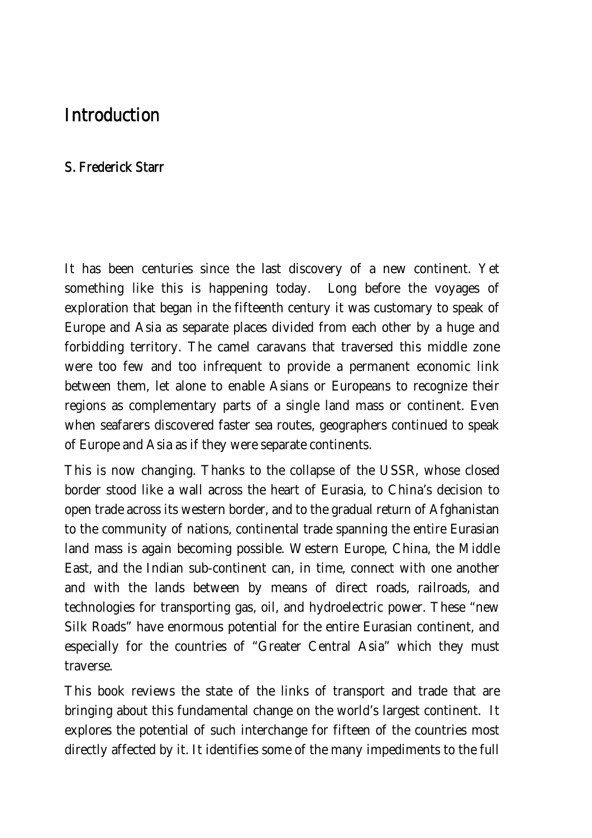# **Introduction**

#### S. Frederick Starr

It has been centuries since the last discovery of a new continent. Yet something like this is happening today. Long before the voyages of exploration that began in the fifteenth century it was customary to speak of Europe and Asia as separate places divided from each other by a huge and forbidding territory. The camel caravans that traversed this middle zone were too few and too infrequent to provide a permanent economic link between them, let alone to enable Asians or Europeans to recognize their regions as complementary parts of a single land mass or continent. Even when seafarers discovered faster sea routes, geographers continued to speak of Europe and Asia as if they were separate continents.

This is now changing. Thanks to the collapse of the USSR, whose closed border stood like a wall across the heart of Eurasia, to China's decision to open trade across its western border, and to the gradual return of Afghanistan to the community of nations, continental trade spanning the entire Eurasian land mass is again becoming possible. Western Europe, China, the Middle East, and the Indian sub-continent can, in time, connect with one another and with the lands between by means of direct roads, railroads, and technologies for transporting gas, oil, and hydroelectric power. These "new Silk Roads" have enormous potential for the entire Eurasian continent, and especially for the countries of "Greater Central Asia" which they must traverse.

This book reviews the state of the links of transport and trade that are bringing about this fundamental change on the world's largest continent. It explores the potential of such interchange for fifteen of the countries most directly affected by it. It identifies some of the many impediments to the full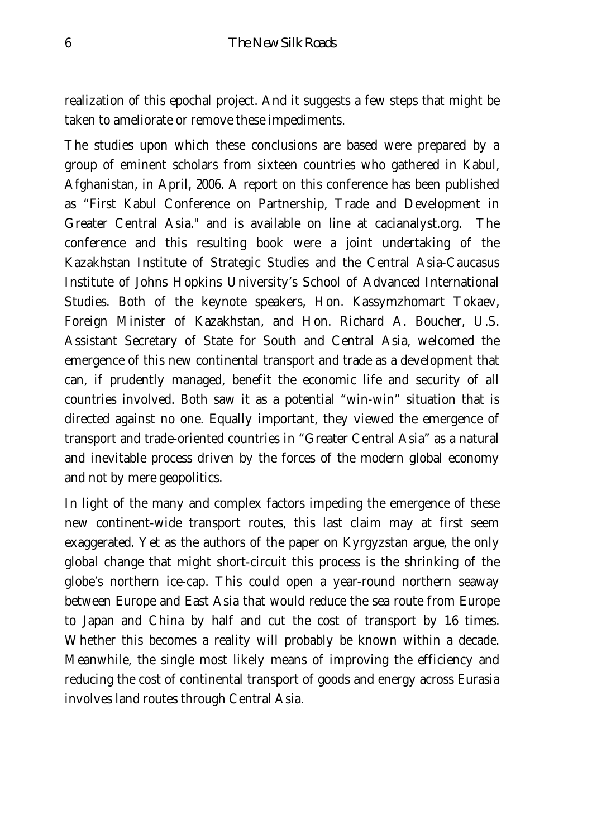realization of this epochal project. And it suggests a few steps that might be taken to ameliorate or remove these impediments.

The studies upon which these conclusions are based were prepared by a group of eminent scholars from sixteen countries who gathered in Kabul, Afghanistan, in April, 2006. A report on this conference has been published as "First Kabul Conference on Partnership, Trade and Development in Greater Central Asia." and is available on line at cacianalyst.org. The conference and this resulting book were a joint undertaking of the Kazakhstan Institute of Strategic Studies and the Central Asia-Caucasus Institute of Johns Hopkins University's School of Advanced International Studies. Both of the keynote speakers, Hon. Kassymzhomart Tokaev, Foreign Minister of Kazakhstan, and Hon. Richard A. Boucher, U.S. Assistant Secretary of State for South and Central Asia, welcomed the emergence of this new continental transport and trade as a development that can, if prudently managed, benefit the economic life and security of all countries involved. Both saw it as a potential "win-win" situation that is directed against no one. Equally important, they viewed the emergence of transport and trade-oriented countries in "Greater Central Asia" as a natural and inevitable process driven by the forces of the modern global economy and not by mere geopolitics.

In light of the many and complex factors impeding the emergence of these new continent-wide transport routes, this last claim may at first seem exaggerated. Yet as the authors of the paper on Kyrgyzstan argue, the only global change that might short-circuit this process is the shrinking of the globe's northern ice-cap. This could open a year-round northern seaway between Europe and East Asia that would reduce the sea route from Europe to Japan and China by half and cut the cost of transport by 1.6 times. Whether this becomes a reality will probably be known within a decade. Meanwhile, the single most likely means of improving the efficiency and reducing the cost of continental transport of goods and energy across Eurasia involves land routes through Central Asia.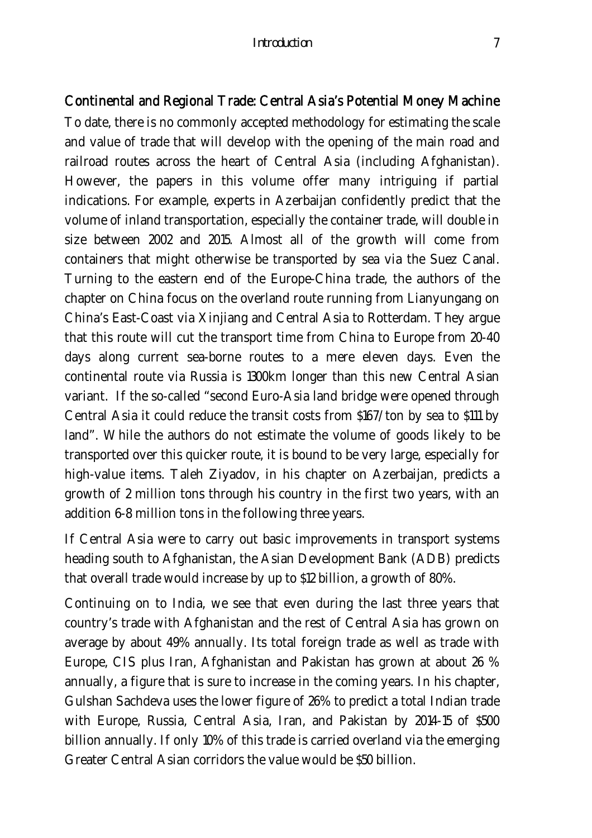#### Continental and Regional Trade: Central Asia's Potential Money Machine

To date, there is no commonly accepted methodology for estimating the scale and value of trade that will develop with the opening of the main road and railroad routes across the heart of Central Asia (including Afghanistan). However, the papers in this volume offer many intriguing if partial indications. For example, experts in Azerbaijan confidently predict that the volume of inland transportation, especially the container trade, will double in size between 2002 and 2015. Almost all of the growth will come from containers that might otherwise be transported by sea via the Suez Canal. Turning to the eastern end of the Europe-China trade, the authors of the chapter on China focus on the overland route running from Lianyungang on China's East-Coast via Xinjiang and Central Asia to Rotterdam. They argue that this route will cut the transport time from China to Europe from 20-40 days along current sea-borne routes to a mere eleven days. Even the continental route via Russia is 1300km longer than this new Central Asian variant. If the so-called "second Euro-Asia land bridge were opened through Central Asia it could reduce the transit costs from \$167/ton by sea to \$111 by land". While the authors do not estimate the volume of goods likely to be transported over this quicker route, it is bound to be very large, especially for high-value items. Taleh Ziyadov, in his chapter on Azerbaijan, predicts a growth of 2 million tons through his country in the first two years, with an addition 6-8 million tons in the following three years.

If Central Asia were to carry out basic improvements in transport systems heading south to Afghanistan, the Asian Development Bank (ADB) predicts that overall trade would increase by up to \$12 billion, a growth of 80%.

Continuing on to India, we see that even during the last three years that country's trade with Afghanistan and the rest of Central Asia has grown on average by about 49% annually. Its total foreign trade as well as trade with Europe, CIS plus Iran, Afghanistan and Pakistan has grown at about 26 % annually, a figure that is sure to increase in the coming years. In his chapter, Gulshan Sachdeva uses the lower figure of 26% to predict a total Indian trade with Europe, Russia, Central Asia, Iran, and Pakistan by 2014-15 of \$500 billion annually. If only 10% of this trade is carried overland via the emerging Greater Central Asian corridors the value would be \$50 billion.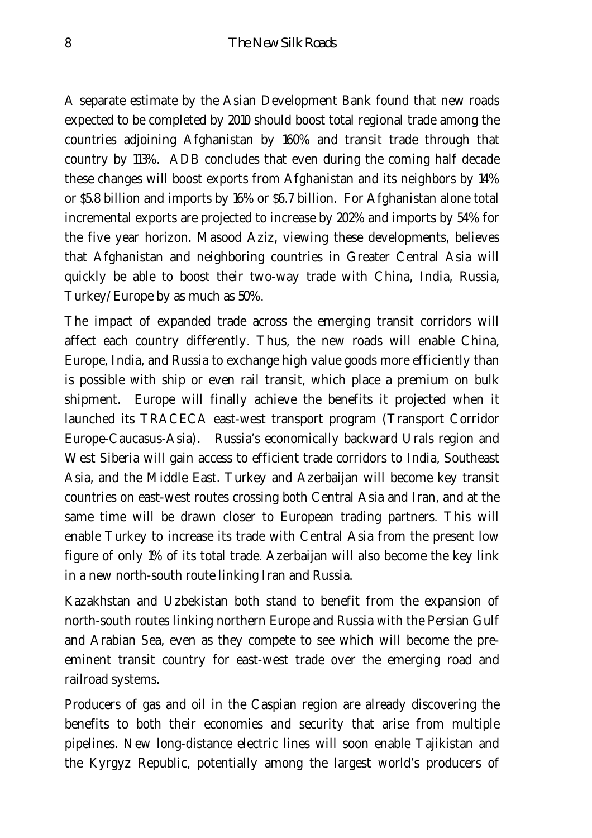A separate estimate by the Asian Development Bank found that new roads expected to be completed by 2010 should boost total regional trade among the countries adjoining Afghanistan by 160% and transit trade through that country by 113%. ADB concludes that even during the coming half decade these changes will boost exports from Afghanistan and its neighbors by 14% or \$5.8 billion and imports by 16% or \$6.7 billion. For Afghanistan alone total incremental exports are projected to increase by 202% and imports by 54% for the five year horizon. Masood Aziz, viewing these developments, believes that Afghanistan and neighboring countries in Greater Central Asia will quickly be able to boost their two-way trade with China, India, Russia, Turkey/Europe by as much as 50%.

The impact of expanded trade across the emerging transit corridors will affect each country differently. Thus, the new roads will enable China, Europe, India, and Russia to exchange high value goods more efficiently than is possible with ship or even rail transit, which place a premium on bulk shipment. Europe will finally achieve the benefits it projected when it launched its TRACECA east-west transport program (Transport Corridor Europe-Caucasus-Asia). Russia's economically backward Urals region and West Siberia will gain access to efficient trade corridors to India, Southeast Asia, and the Middle East. Turkey and Azerbaijan will become key transit countries on east-west routes crossing both Central Asia and Iran, and at the same time will be drawn closer to European trading partners. This will enable Turkey to increase its trade with Central Asia from the present low figure of only 1% of its total trade. Azerbaijan will also become the key link in a new north-south route linking Iran and Russia.

Kazakhstan and Uzbekistan both stand to benefit from the expansion of north-south routes linking northern Europe and Russia with the Persian Gulf and Arabian Sea, even as they compete to see which will become the preeminent transit country for east-west trade over the emerging road and railroad systems.

Producers of gas and oil in the Caspian region are already discovering the benefits to both their economies and security that arise from multiple pipelines. New long-distance electric lines will soon enable Tajikistan and the Kyrgyz Republic, potentially among the largest world's producers of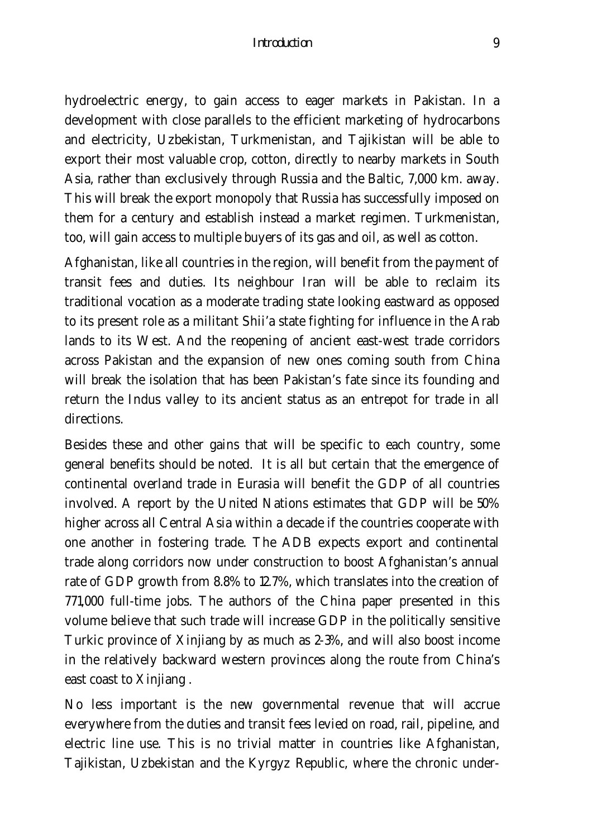hydroelectric energy, to gain access to eager markets in Pakistan. In a development with close parallels to the efficient marketing of hydrocarbons and electricity, Uzbekistan, Turkmenistan, and Tajikistan will be able to export their most valuable crop, cotton, directly to nearby markets in South Asia, rather than exclusively through Russia and the Baltic, 7,000 km. away. This will break the export monopoly that Russia has successfully imposed on them for a century and establish instead a market regimen. Turkmenistan, too, will gain access to multiple buyers of its gas and oil, as well as cotton.

Afghanistan, like all countries in the region, will benefit from the payment of transit fees and duties. Its neighbour Iran will be able to reclaim its traditional vocation as a moderate trading state looking eastward as opposed to its present role as a militant Shii'a state fighting for influence in the Arab lands to its West. And the reopening of ancient east-west trade corridors across Pakistan and the expansion of new ones coming south from China will break the isolation that has been Pakistan's fate since its founding and return the Indus valley to its ancient status as an entrepot for trade in all directions.

Besides these and other gains that will be specific to each country, some general benefits should be noted. It is all but certain that the emergence of continental overland trade in Eurasia will benefit the GDP of all countries involved. A report by the United Nations estimates that GDP will be 50% higher across all Central Asia within a decade if the countries cooperate with one another in fostering trade. The ADB expects export and continental trade along corridors now under construction to boost Afghanistan's annual rate of GDP growth from 8.8% to 12.7%, which translates into the creation of 771,000 full-time jobs. The authors of the China paper presented in this volume believe that such trade will increase GDP in the politically sensitive Turkic province of Xinjiang by as much as 2-3%, and will also boost income in the relatively backward western provinces along the route from China's east coast to Xinjiang .

No less important is the new governmental revenue that will accrue everywhere from the duties and transit fees levied on road, rail, pipeline, and electric line use. This is no trivial matter in countries like Afghanistan, Tajikistan, Uzbekistan and the Kyrgyz Republic, where the chronic under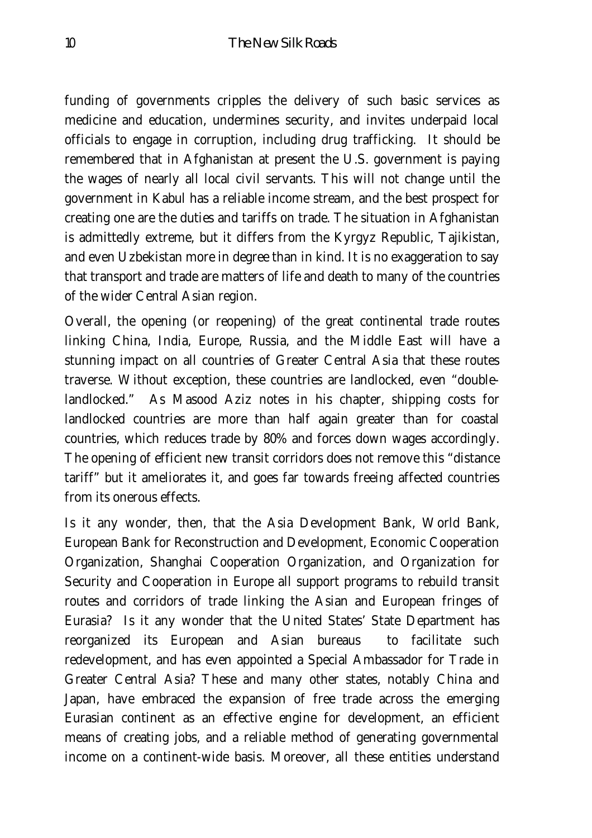funding of governments cripples the delivery of such basic services as medicine and education, undermines security, and invites underpaid local officials to engage in corruption, including drug trafficking. It should be remembered that in Afghanistan at present the U.S. government is paying the wages of nearly all local civil servants. This will not change until the government in Kabul has a reliable income stream, and the best prospect for creating one are the duties and tariffs on trade. The situation in Afghanistan is admittedly extreme, but it differs from the Kyrgyz Republic, Tajikistan, and even Uzbekistan more in degree than in kind. It is no exaggeration to say that transport and trade are matters of life and death to many of the countries of the wider Central Asian region.

Overall, the opening (or reopening) of the great continental trade routes linking China, India, Europe, Russia, and the Middle East will have a stunning impact on all countries of Greater Central Asia that these routes traverse. Without exception, these countries are landlocked, even "doublelandlocked." As Masood Aziz notes in his chapter, shipping costs for landlocked countries are more than half again greater than for coastal countries, which reduces trade by 80% and forces down wages accordingly. The opening of efficient new transit corridors does not remove this "distance tariff" but it ameliorates it, and goes far towards freeing affected countries from its onerous effects.

Is it any wonder, then, that the Asia Development Bank, World Bank, European Bank for Reconstruction and Development, Economic Cooperation Organization, Shanghai Cooperation Organization, and Organization for Security and Cooperation in Europe all support programs to rebuild transit routes and corridors of trade linking the Asian and European fringes of Eurasia? Is it any wonder that the United States' State Department has reorganized its European and Asian bureaus to facilitate such redevelopment, and has even appointed a Special Ambassador for Trade in Greater Central Asia? These and many other states, notably China and Japan, have embraced the expansion of free trade across the emerging Eurasian continent as an effective engine for development, an efficient means of creating jobs, and a reliable method of generating governmental income on a continent-wide basis. Moreover, all these entities understand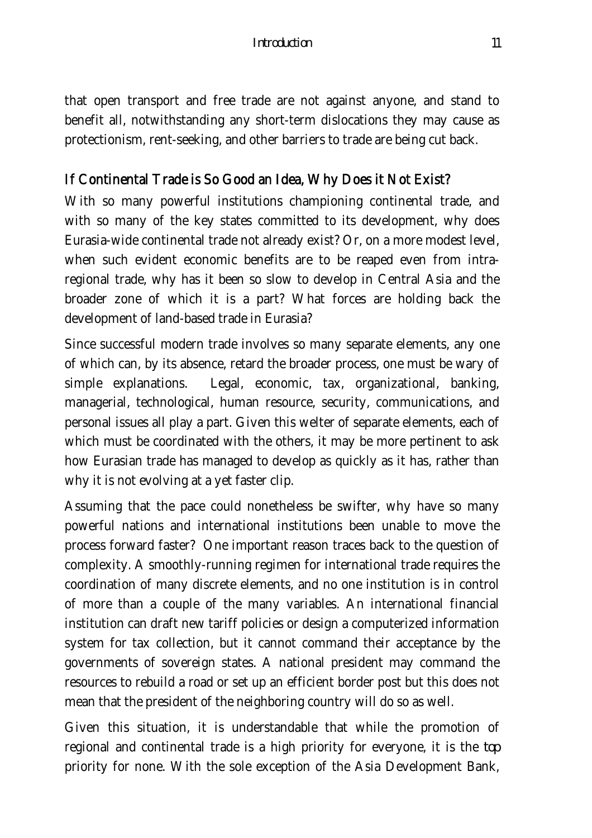that open transport and free trade are not against anyone, and stand to benefit all, notwithstanding any short-term dislocations they may cause as protectionism, rent-seeking, and other barriers to trade are being cut back.

# If Continental Trade is So Good an Idea, Why Does it Not Exist?

With so many powerful institutions championing continental trade, and with so many of the key states committed to its development, why does Eurasia-wide continental trade not already exist? Or, on a more modest level, when such evident economic benefits are to be reaped even from intraregional trade, why has it been so slow to develop in Central Asia and the broader zone of which it is a part? What forces are holding back the development of land-based trade in Eurasia?

Since successful modern trade involves so many separate elements, any one of which can, by its absence, retard the broader process, one must be wary of simple explanations. Legal, economic, tax, organizational, banking, managerial, technological, human resource, security, communications, and personal issues all play a part. Given this welter of separate elements, each of which must be coordinated with the others, it may be more pertinent to ask how Eurasian trade has managed to develop as quickly as it has, rather than why it is not evolving at a yet faster clip.

Assuming that the pace could nonetheless be swifter, why have so many powerful nations and international institutions been unable to move the process forward faster? One important reason traces back to the question of complexity. A smoothly-running regimen for international trade requires the coordination of many discrete elements, and no one institution is in control of more than a couple of the many variables. An international financial institution can draft new tariff policies or design a computerized information system for tax collection, but it cannot command their acceptance by the governments of sovereign states. A national president may command the resources to rebuild a road or set up an efficient border post but this does not mean that the president of the neighboring country will do so as well.

Given this situation, it is understandable that while the promotion of regional and continental trade is a high priority for everyone, it is the *top* priority for none. With the sole exception of the Asia Development Bank,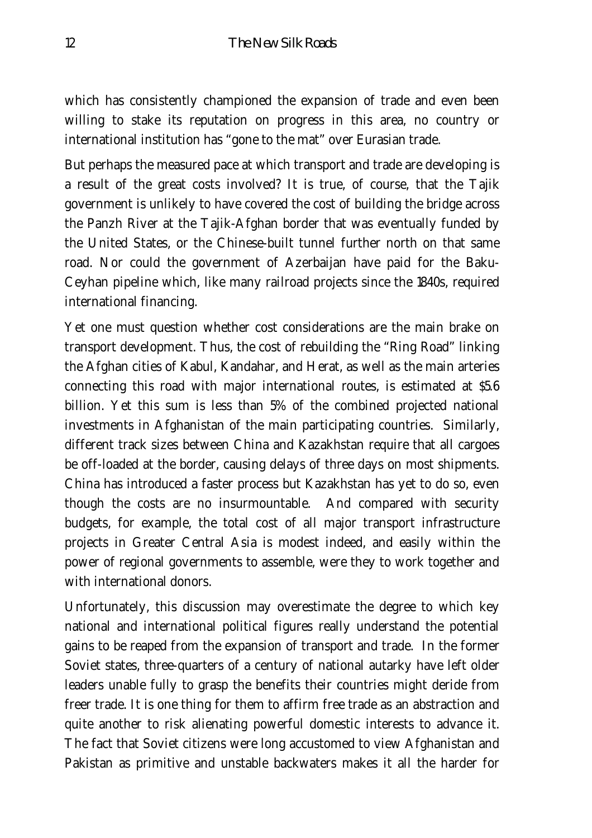which has consistently championed the expansion of trade and even been willing to stake its reputation on progress in this area, no country or international institution has "gone to the mat" over Eurasian trade.

But perhaps the measured pace at which transport and trade are developing is a result of the great costs involved? It is true, of course, that the Tajik government is unlikely to have covered the cost of building the bridge across the Panzh River at the Tajik-Afghan border that was eventually funded by the United States, or the Chinese-built tunnel further north on that same road. Nor could the government of Azerbaijan have paid for the Baku-Ceyhan pipeline which, like many railroad projects since the 1840s, required international financing.

Yet one must question whether cost considerations are the main brake on transport development. Thus, the cost of rebuilding the "Ring Road" linking the Afghan cities of Kabul, Kandahar, and Herat, as well as the main arteries connecting this road with major international routes, is estimated at \$5.6 billion. Yet this sum is less than 5% of the combined projected national investments in Afghanistan of the main participating countries. Similarly, different track sizes between China and Kazakhstan require that all cargoes be off-loaded at the border, causing delays of three days on most shipments. China has introduced a faster process but Kazakhstan has yet to do so, even though the costs are no insurmountable. And compared with security budgets, for example, the total cost of all major transport infrastructure projects in Greater Central Asia is modest indeed, and easily within the power of regional governments to assemble, were they to work together and with international donors.

Unfortunately, this discussion may overestimate the degree to which key national and international political figures really understand the potential gains to be reaped from the expansion of transport and trade. In the former Soviet states, three-quarters of a century of national autarky have left older leaders unable fully to grasp the benefits their countries might deride from freer trade. It is one thing for them to affirm free trade as an abstraction and quite another to risk alienating powerful domestic interests to advance it. The fact that Soviet citizens were long accustomed to view Afghanistan and Pakistan as primitive and unstable backwaters makes it all the harder for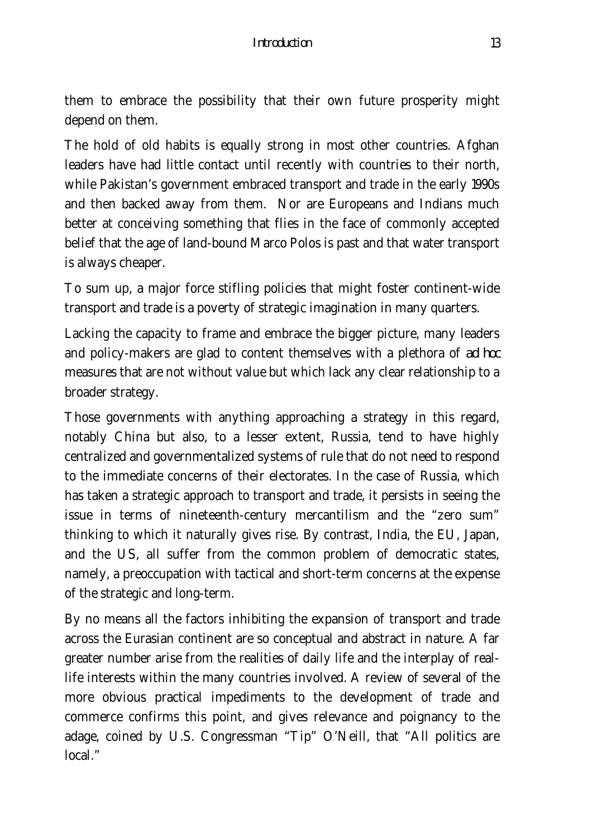them to embrace the possibility that their own future prosperity might depend on them.

The hold of old habits is equally strong in most other countries. Afghan leaders have had little contact until recently with countries to their north, while Pakistan's government embraced transport and trade in the early 1990s and then backed away from them. Nor are Europeans and Indians much better at conceiving something that flies in the face of commonly accepted belief that the age of land-bound Marco Polos is past and that water transport is always cheaper.

To sum up, a major force stifling policies that might foster continent-wide transport and trade is a poverty of strategic imagination in many quarters.

Lacking the capacity to frame and embrace the bigger picture, many leaders and policy-makers are glad to content themselves with a plethora of *ad hoc* measures that are not without value but which lack any clear relationship to a broader strategy.

Those governments with anything approaching a strategy in this regard, notably China but also, to a lesser extent, Russia, tend to have highly centralized and governmentalized systems of rule that do not need to respond to the immediate concerns of their electorates. In the case of Russia, which has taken a strategic approach to transport and trade, it persists in seeing the issue in terms of nineteenth-century mercantilism and the "zero sum" thinking to which it naturally gives rise. By contrast, India, the EU, Japan, and the US, all suffer from the common problem of democratic states, namely, a preoccupation with tactical and short-term concerns at the expense of the strategic and long-term.

By no means all the factors inhibiting the expansion of transport and trade across the Eurasian continent are so conceptual and abstract in nature. A far greater number arise from the realities of daily life and the interplay of reallife interests within the many countries involved. A review of several of the more obvious practical impediments to the development of trade and commerce confirms this point, and gives relevance and poignancy to the adage, coined by U.S. Congressman "Tip" O'Neill, that "All politics are local."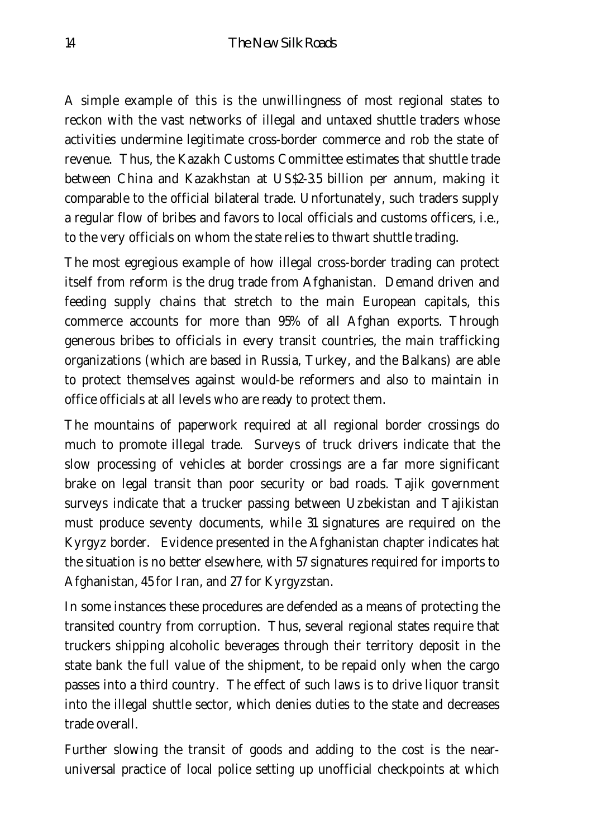A simple example of this is the unwillingness of most regional states to reckon with the vast networks of illegal and untaxed shuttle traders whose activities undermine legitimate cross-border commerce and rob the state of revenue. Thus, the Kazakh Customs Committee estimates that shuttle trade between China and Kazakhstan at US\$2-3.5 billion per annum, making it comparable to the official bilateral trade. Unfortunately, such traders supply a regular flow of bribes and favors to local officials and customs officers, i.e., to the very officials on whom the state relies to thwart shuttle trading.

The most egregious example of how illegal cross-border trading can protect itself from reform is the drug trade from Afghanistan. Demand driven and feeding supply chains that stretch to the main European capitals, this commerce accounts for more than 95% of all Afghan exports. Through generous bribes to officials in every transit countries, the main trafficking organizations (which are based in Russia, Turkey, and the Balkans) are able to protect themselves against would-be reformers and also to maintain in office officials at all levels who are ready to protect them.

The mountains of paperwork required at all regional border crossings do much to promote illegal trade. Surveys of truck drivers indicate that the slow processing of vehicles at border crossings are a far more significant brake on legal transit than poor security or bad roads. Tajik government surveys indicate that a trucker passing between Uzbekistan and Tajikistan must produce seventy documents, while 31 signatures are required on the Kyrgyz border. Evidence presented in the Afghanistan chapter indicates hat the situation is no better elsewhere, with 57 signatures required for imports to Afghanistan, 45 for Iran, and 27 for Kyrgyzstan.

In some instances these procedures are defended as a means of protecting the transited country from corruption. Thus, several regional states require that truckers shipping alcoholic beverages through their territory deposit in the state bank the full value of the shipment, to be repaid only when the cargo passes into a third country. The effect of such laws is to drive liquor transit into the illegal shuttle sector, which denies duties to the state and decreases trade overall.

Further slowing the transit of goods and adding to the cost is the nearuniversal practice of local police setting up unofficial checkpoints at which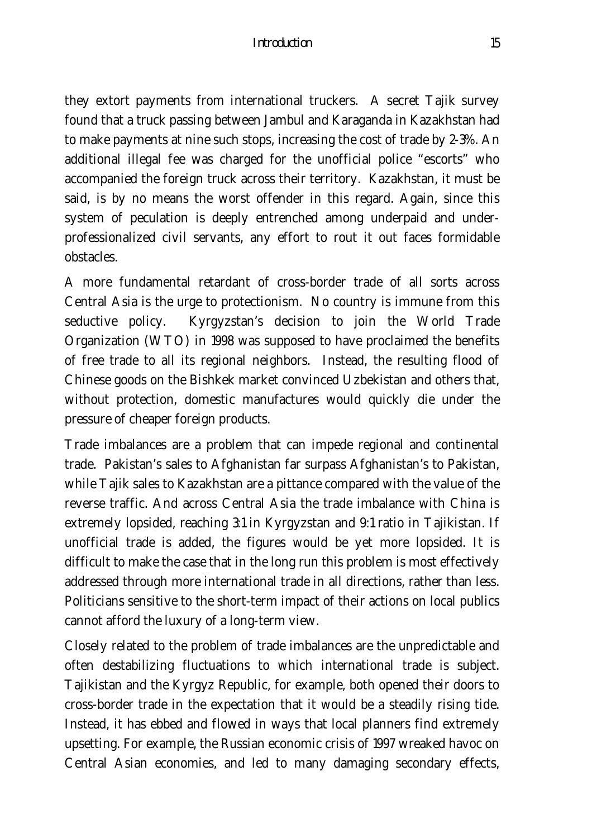they extort payments from international truckers. A secret Tajik survey found that a truck passing between Jambul and Karaganda in Kazakhstan had to make payments at nine such stops, increasing the cost of trade by 2-3%. An additional illegal fee was charged for the unofficial police "escorts" who accompanied the foreign truck across their territory. Kazakhstan, it must be said, is by no means the worst offender in this regard. Again, since this system of peculation is deeply entrenched among underpaid and underprofessionalized civil servants, any effort to rout it out faces formidable obstacles.

A more fundamental retardant of cross-border trade of all sorts across Central Asia is the urge to protectionism. No country is immune from this seductive policy. Kyrgyzstan's decision to join the World Trade Organization (WTO) in 1998 was supposed to have proclaimed the benefits of free trade to all its regional neighbors. Instead, the resulting flood of Chinese goods on the Bishkek market convinced Uzbekistan and others that, without protection, domestic manufactures would quickly die under the pressure of cheaper foreign products.

Trade imbalances are a problem that can impede regional and continental trade. Pakistan's sales to Afghanistan far surpass Afghanistan's to Pakistan, while Tajik sales to Kazakhstan are a pittance compared with the value of the reverse traffic. And across Central Asia the trade imbalance with China is extremely lopsided, reaching 3:1 in Kyrgyzstan and 9:1 ratio in Tajikistan. If unofficial trade is added, the figures would be yet more lopsided. It is difficult to make the case that in the long run this problem is most effectively addressed through more international trade in all directions, rather than less. Politicians sensitive to the short-term impact of their actions on local publics cannot afford the luxury of a long-term view.

Closely related to the problem of trade imbalances are the unpredictable and often destabilizing fluctuations to which international trade is subject. Tajikistan and the Kyrgyz Republic, for example, both opened their doors to cross-border trade in the expectation that it would be a steadily rising tide. Instead, it has ebbed and flowed in ways that local planners find extremely upsetting. For example, the Russian economic crisis of 1997 wreaked havoc on Central Asian economies, and led to many damaging secondary effects,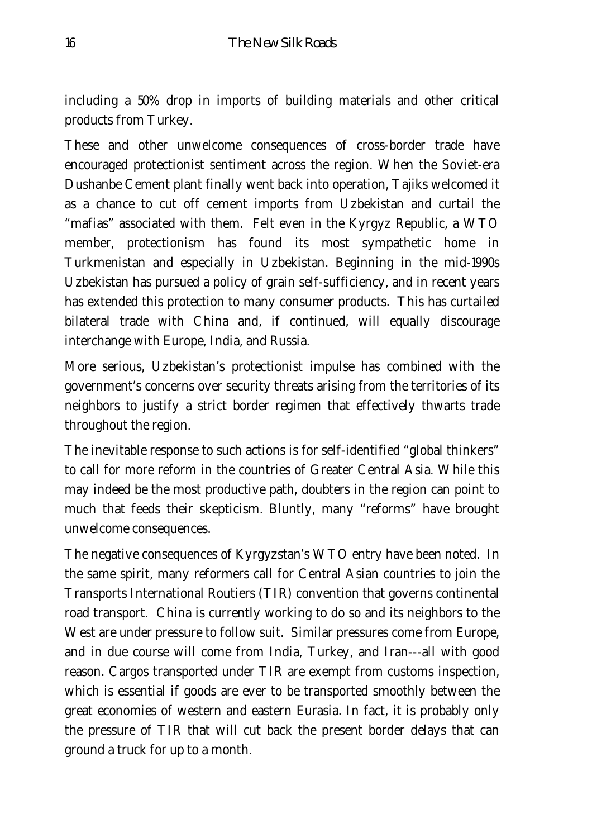including a 50% drop in imports of building materials and other critical products from Turkey.

These and other unwelcome consequences of cross-border trade have encouraged protectionist sentiment across the region. When the Soviet-era Dushanbe Cement plant finally went back into operation, Tajiks welcomed it as a chance to cut off cement imports from Uzbekistan and curtail the "mafias" associated with them. Felt even in the Kyrgyz Republic, a WTO member, protectionism has found its most sympathetic home in Turkmenistan and especially in Uzbekistan. Beginning in the mid-1990s Uzbekistan has pursued a policy of grain self-sufficiency, and in recent years has extended this protection to many consumer products. This has curtailed bilateral trade with China and, if continued, will equally discourage interchange with Europe, India, and Russia.

More serious, Uzbekistan's protectionist impulse has combined with the government's concerns over security threats arising from the territories of its neighbors to justify a strict border regimen that effectively thwarts trade throughout the region.

The inevitable response to such actions is for self-identified "global thinkers" to call for more reform in the countries of Greater Central Asia. While this may indeed be the most productive path, doubters in the region can point to much that feeds their skepticism. Bluntly, many "reforms" have brought unwelcome consequences.

The negative consequences of Kyrgyzstan's WTO entry have been noted. In the same spirit, many reformers call for Central Asian countries to join the Transports International Routiers (TIR) convention that governs continental road transport. China is currently working to do so and its neighbors to the West are under pressure to follow suit. Similar pressures come from Europe, and in due course will come from India, Turkey, and Iran---all with good reason. Cargos transported under TIR are exempt from customs inspection, which is essential if goods are ever to be transported smoothly between the great economies of western and eastern Eurasia. In fact, it is probably only the pressure of TIR that will cut back the present border delays that can ground a truck for up to a month.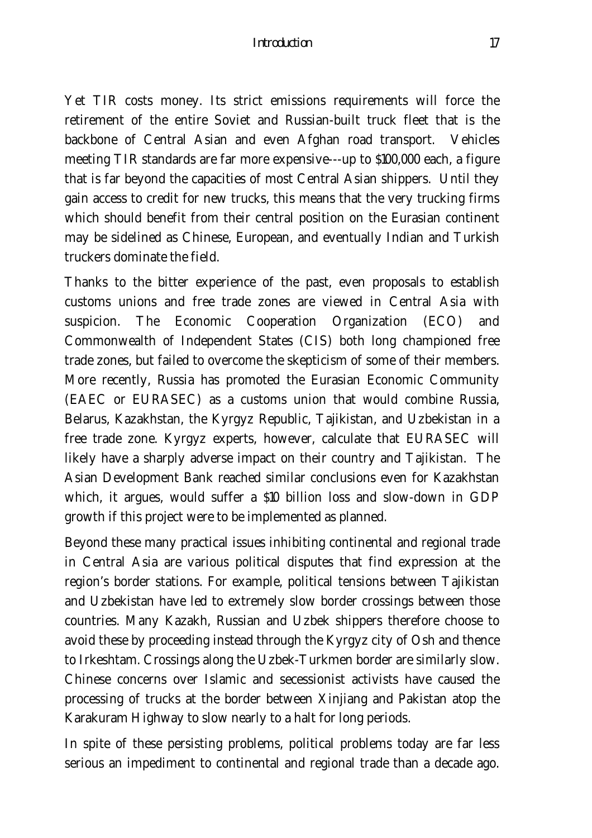Yet TIR costs money. Its strict emissions requirements will force the retirement of the entire Soviet and Russian-built truck fleet that is the backbone of Central Asian and even Afghan road transport. Vehicles meeting TIR standards are far more expensive---up to \$100,000 each, a figure that is far beyond the capacities of most Central Asian shippers. Until they gain access to credit for new trucks, this means that the very trucking firms which should benefit from their central position on the Eurasian continent may be sidelined as Chinese, European, and eventually Indian and Turkish truckers dominate the field.

Thanks to the bitter experience of the past, even proposals to establish customs unions and free trade zones are viewed in Central Asia with suspicion. The Economic Cooperation Organization (ECO) and Commonwealth of Independent States (CIS) both long championed free trade zones, but failed to overcome the skepticism of some of their members. More recently, Russia has promoted the Eurasian Economic Community (EAEC or EURASEC) as a customs union that would combine Russia, Belarus, Kazakhstan, the Kyrgyz Republic, Tajikistan, and Uzbekistan in a free trade zone. Kyrgyz experts, however, calculate that EURASEC will likely have a sharply adverse impact on their country and Tajikistan. The Asian Development Bank reached similar conclusions even for Kazakhstan which, it argues, would suffer a \$10 billion loss and slow-down in GDP growth if this project were to be implemented as planned.

Beyond these many practical issues inhibiting continental and regional trade in Central Asia are various political disputes that find expression at the region's border stations. For example, political tensions between Tajikistan and Uzbekistan have led to extremely slow border crossings between those countries. Many Kazakh, Russian and Uzbek shippers therefore choose to avoid these by proceeding instead through the Kyrgyz city of Osh and thence to Irkeshtam. Crossings along the Uzbek-Turkmen border are similarly slow. Chinese concerns over Islamic and secessionist activists have caused the processing of trucks at the border between Xinjiang and Pakistan atop the Karakuram Highway to slow nearly to a halt for long periods.

In spite of these persisting problems, political problems today are far less serious an impediment to continental and regional trade than a decade ago.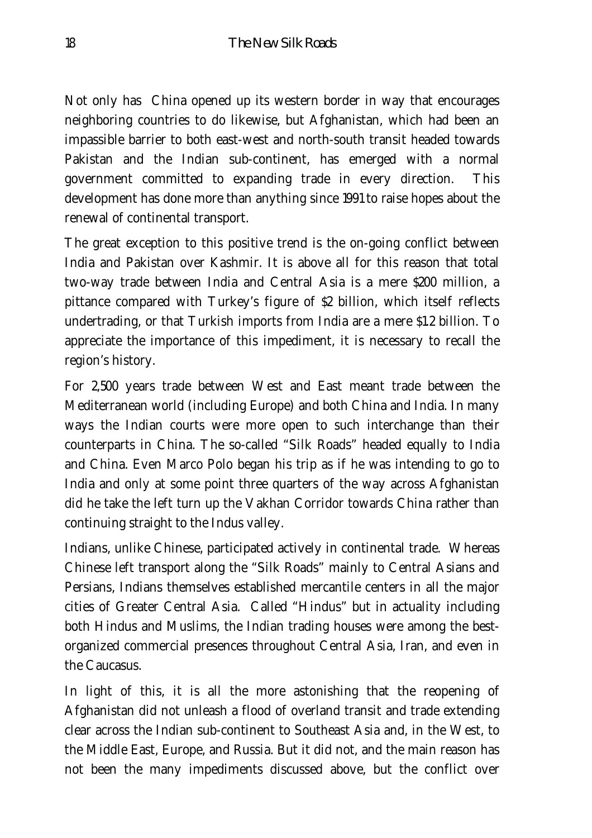Not only has China opened up its western border in way that encourages neighboring countries to do likewise, but Afghanistan, which had been an impassible barrier to both east-west and north-south transit headed towards Pakistan and the Indian sub-continent, has emerged with a normal government committed to expanding trade in every direction. This development has done more than anything since 1991 to raise hopes about the renewal of continental transport.

The great exception to this positive trend is the on-going conflict between India and Pakistan over Kashmir. It is above all for this reason that total two-way trade between India and Central Asia is a mere \$200 million, a pittance compared with Turkey's figure of \$2 billion, which itself reflects undertrading, or that Turkish imports from India are a mere \$1.2 billion. To appreciate the importance of this impediment, it is necessary to recall the region's history.

For 2,500 years trade between West and East meant trade between the Mediterranean world (including Europe) and both China and India. In many ways the Indian courts were more open to such interchange than their counterparts in China. The so-called "Silk Roads" headed equally to India and China. Even Marco Polo began his trip as if he was intending to go to India and only at some point three quarters of the way across Afghanistan did he take the left turn up the Vakhan Corridor towards China rather than continuing straight to the Indus valley.

Indians, unlike Chinese, participated actively in continental trade. Whereas Chinese left transport along the "Silk Roads" mainly to Central Asians and Persians, Indians themselves established mercantile centers in all the major cities of Greater Central Asia. Called "Hindus" but in actuality including both Hindus and Muslims, the Indian trading houses were among the bestorganized commercial presences throughout Central Asia, Iran, and even in the Caucasus.

In light of this, it is all the more astonishing that the reopening of Afghanistan did not unleash a flood of overland transit and trade extending clear across the Indian sub-continent to Southeast Asia and, in the West, to the Middle East, Europe, and Russia. But it did not, and the main reason has not been the many impediments discussed above, but the conflict over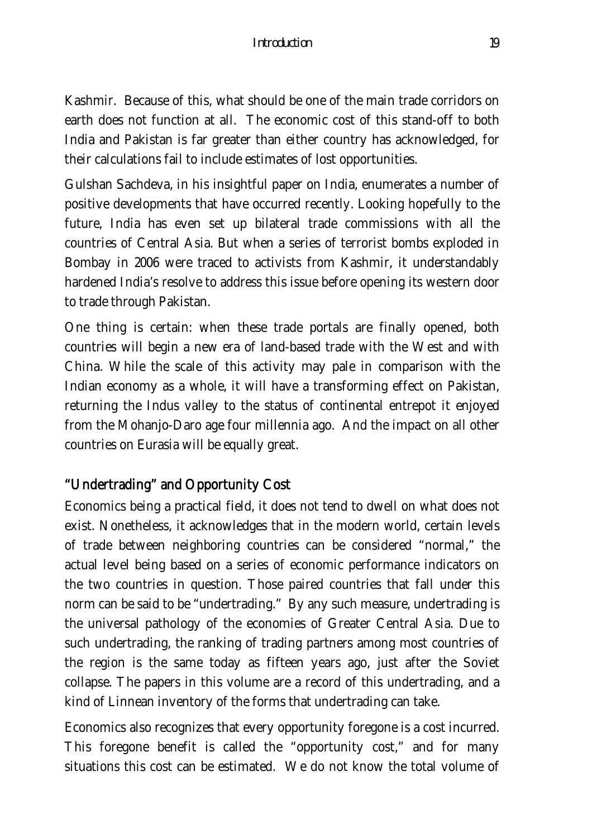Kashmir. Because of this, what should be one of the main trade corridors on earth does not function at all. The economic cost of this stand-off to both India and Pakistan is far greater than either country has acknowledged, for their calculations fail to include estimates of lost opportunities.

Gulshan Sachdeva, in his insightful paper on India, enumerates a number of positive developments that have occurred recently. Looking hopefully to the future, India has even set up bilateral trade commissions with all the countries of Central Asia. But when a series of terrorist bombs exploded in Bombay in 2006 were traced to activists from Kashmir, it understandably hardened India's resolve to address this issue before opening its western door to trade through Pakistan.

One thing is certain: when these trade portals are finally opened, both countries will begin a new era of land-based trade with the West and with China. While the scale of this activity may pale in comparison with the Indian economy as a whole, it will have a transforming effect on Pakistan, returning the Indus valley to the status of continental entrepot it enjoyed from the Mohanjo-Daro age four millennia ago. And the impact on all other countries on Eurasia will be equally great.

## "Undertrading" and Opportunity Cost

Economics being a practical field, it does not tend to dwell on what does not exist. Nonetheless, it acknowledges that in the modern world, certain levels of trade between neighboring countries can be considered "normal," the actual level being based on a series of economic performance indicators on the two countries in question. Those paired countries that fall under this norm can be said to be "undertrading." By any such measure, undertrading is the universal pathology of the economies of Greater Central Asia. Due to such undertrading, the ranking of trading partners among most countries of the region is the same today as fifteen years ago, just after the Soviet collapse. The papers in this volume are a record of this undertrading, and a kind of Linnean inventory of the forms that undertrading can take.

Economics also recognizes that every opportunity foregone is a cost incurred. This foregone benefit is called the "opportunity cost," and for many situations this cost can be estimated. We do not know the total volume of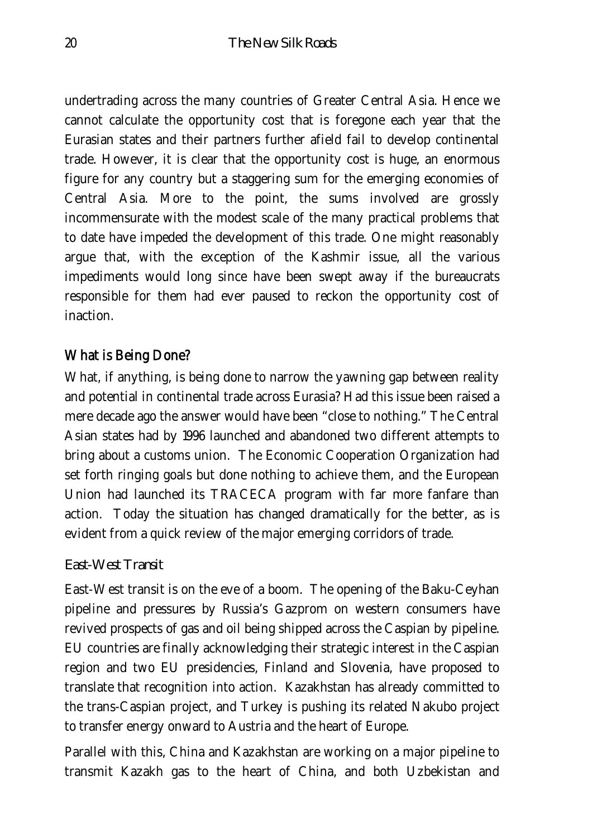undertrading across the many countries of Greater Central Asia. Hence we cannot calculate the opportunity cost that is foregone each year that the Eurasian states and their partners further afield fail to develop continental trade. However, it is clear that the opportunity cost is huge, an enormous figure for any country but a staggering sum for the emerging economies of Central Asia. More to the point, the sums involved are grossly incommensurate with the modest scale of the many practical problems that to date have impeded the development of this trade. One might reasonably argue that, with the exception of the Kashmir issue, all the various impediments would long since have been swept away if the bureaucrats responsible for them had ever paused to reckon the opportunity cost of inaction.

### What is Being Done?

What, if anything, is being done to narrow the yawning gap between reality and potential in continental trade across Eurasia? Had this issue been raised a mere decade ago the answer would have been "close to nothing." The Central Asian states had by 1996 launched and abandoned two different attempts to bring about a customs union. The Economic Cooperation Organization had set forth ringing goals but done nothing to achieve them, and the European Union had launched its TRACECA program with far more fanfare than action. Today the situation has changed dramatically for the better, as is evident from a quick review of the major emerging corridors of trade.

#### *East-West Transit*

East-West transit is on the eve of a boom. The opening of the Baku-Ceyhan pipeline and pressures by Russia's Gazprom on western consumers have revived prospects of gas and oil being shipped across the Caspian by pipeline. EU countries are finally acknowledging their strategic interest in the Caspian region and two EU presidencies, Finland and Slovenia, have proposed to translate that recognition into action. Kazakhstan has already committed to the trans-Caspian project, and Turkey is pushing its related Nakubo project to transfer energy onward to Austria and the heart of Europe.

Parallel with this, China and Kazakhstan are working on a major pipeline to transmit Kazakh gas to the heart of China, and both Uzbekistan and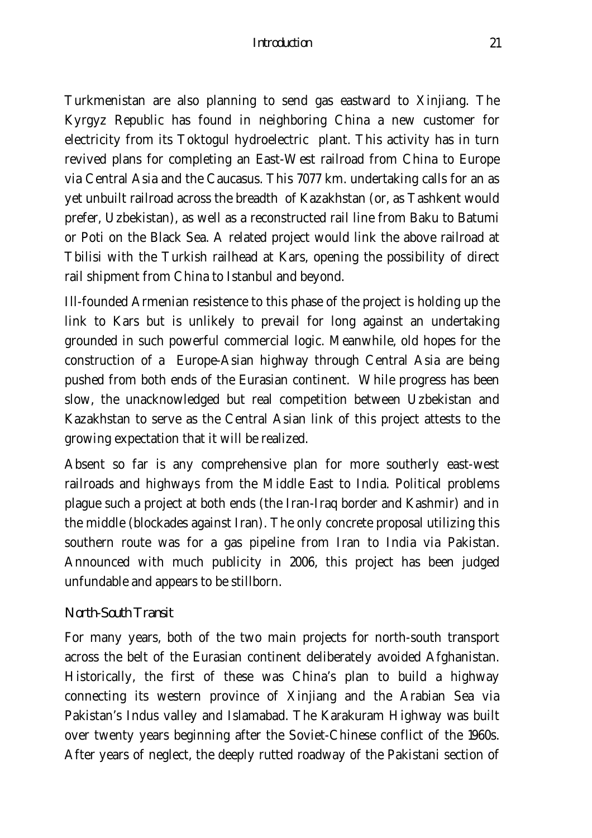Turkmenistan are also planning to send gas eastward to Xinjiang. The Kyrgyz Republic has found in neighboring China a new customer for electricity from its Toktogul hydroelectric plant. This activity has in turn revived plans for completing an East-West railroad from China to Europe via Central Asia and the Caucasus. This 7077 km. undertaking calls for an as yet unbuilt railroad across the breadth of Kazakhstan (or, as Tashkent would prefer, Uzbekistan), as well as a reconstructed rail line from Baku to Batumi or Poti on the Black Sea. A related project would link the above railroad at Tbilisi with the Turkish railhead at Kars, opening the possibility of direct rail shipment from China to Istanbul and beyond.

Ill-founded Armenian resistence to this phase of the project is holding up the link to Kars but is unlikely to prevail for long against an undertaking grounded in such powerful commercial logic. Meanwhile, old hopes for the construction of a Europe-Asian highway through Central Asia are being pushed from both ends of the Eurasian continent. While progress has been slow, the unacknowledged but real competition between Uzbekistan and Kazakhstan to serve as the Central Asian link of this project attests to the growing expectation that it will be realized.

Absent so far is any comprehensive plan for more southerly east-west railroads and highways from the Middle East to India. Political problems plague such a project at both ends (the Iran-Iraq border and Kashmir) and in the middle (blockades against Iran). The only concrete proposal utilizing this southern route was for a gas pipeline from Iran to India via Pakistan. Announced with much publicity in 2006, this project has been judged unfundable and appears to be stillborn.

### *North-South Transit*

For many years, both of the two main projects for north-south transport across the belt of the Eurasian continent deliberately avoided Afghanistan. Historically, the first of these was China's plan to build a highway connecting its western province of Xinjiang and the Arabian Sea via Pakistan's Indus valley and Islamabad. The Karakuram Highway was built over twenty years beginning after the Soviet-Chinese conflict of the 1960s. After years of neglect, the deeply rutted roadway of the Pakistani section of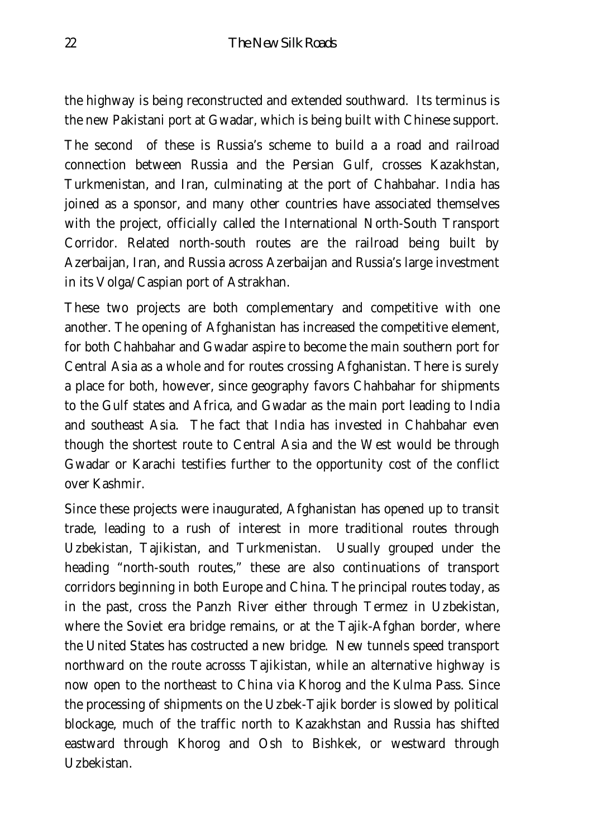the highway is being reconstructed and extended southward. Its terminus is the new Pakistani port at Gwadar, which is being built with Chinese support.

The second of these is Russia's scheme to build a a road and railroad connection between Russia and the Persian Gulf, crosses Kazakhstan, Turkmenistan, and Iran, culminating at the port of Chahbahar. India has joined as a sponsor, and many other countries have associated themselves with the project, officially called the International North-South Transport Corridor. Related north-south routes are the railroad being built by Azerbaijan, Iran, and Russia across Azerbaijan and Russia's large investment in its Volga/Caspian port of Astrakhan.

These two projects are both complementary and competitive with one another. The opening of Afghanistan has increased the competitive element, for both Chahbahar and Gwadar aspire to become the main southern port for Central Asia as a whole and for routes crossing Afghanistan. There is surely a place for both, however, since geography favors Chahbahar for shipments to the Gulf states and Africa, and Gwadar as the main port leading to India and southeast Asia. The fact that India has invested in Chahbahar even though the shortest route to Central Asia and the West would be through Gwadar or Karachi testifies further to the opportunity cost of the conflict over Kashmir.

Since these projects were inaugurated, Afghanistan has opened up to transit trade, leading to a rush of interest in more traditional routes through Uzbekistan, Tajikistan, and Turkmenistan. Usually grouped under the heading "north-south routes," these are also continuations of transport corridors beginning in both Europe and China. The principal routes today, as in the past, cross the Panzh River either through Termez in Uzbekistan, where the Soviet era bridge remains, or at the Tajik-Afghan border, where the United States has costructed a new bridge. New tunnels speed transport northward on the route acrosss Tajikistan, while an alternative highway is now open to the northeast to China via Khorog and the Kulma Pass. Since the processing of shipments on the Uzbek-Tajik border is slowed by political blockage, much of the traffic north to Kazakhstan and Russia has shifted eastward through Khorog and Osh to Bishkek, or westward through Uzbekistan.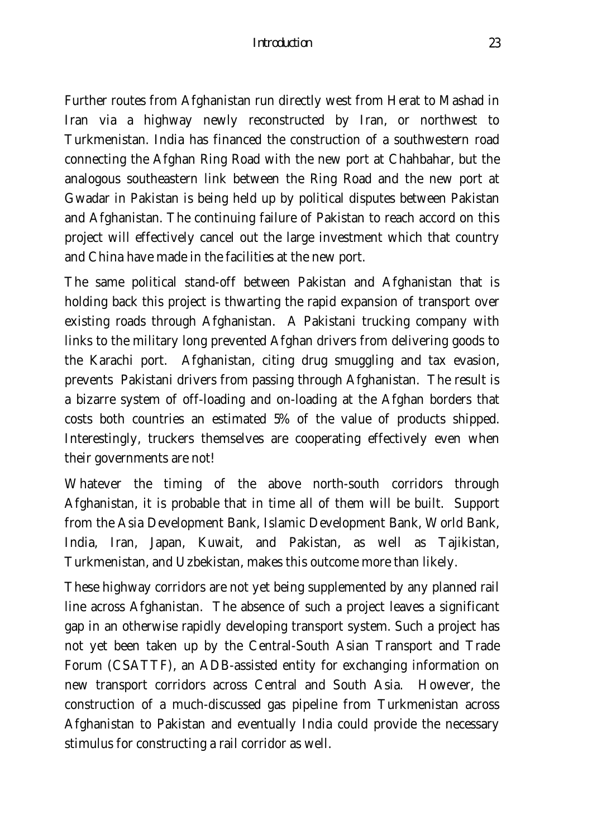Further routes from Afghanistan run directly west from Herat to Mashad in Iran via a highway newly reconstructed by Iran, or northwest to Turkmenistan. India has financed the construction of a southwestern road connecting the Afghan Ring Road with the new port at Chahbahar, but the analogous southeastern link between the Ring Road and the new port at Gwadar in Pakistan is being held up by political disputes between Pakistan and Afghanistan. The continuing failure of Pakistan to reach accord on this project will effectively cancel out the large investment which that country and China have made in the facilities at the new port.

The same political stand-off between Pakistan and Afghanistan that is holding back this project is thwarting the rapid expansion of transport over existing roads through Afghanistan. A Pakistani trucking company with links to the military long prevented Afghan drivers from delivering goods to the Karachi port. Afghanistan, citing drug smuggling and tax evasion, prevents Pakistani drivers from passing through Afghanistan. The result is a bizarre system of off-loading and on-loading at the Afghan borders that costs both countries an estimated 5% of the value of products shipped. Interestingly, truckers themselves are cooperating effectively even when their governments are not!

Whatever the timing of the above north-south corridors through Afghanistan, it is probable that in time all of them will be built. Support from the Asia Development Bank, Islamic Development Bank, World Bank, India, Iran, Japan, Kuwait, and Pakistan, as well as Tajikistan, Turkmenistan, and Uzbekistan, makes this outcome more than likely.

These highway corridors are not yet being supplemented by any planned rail line across Afghanistan. The absence of such a project leaves a significant gap in an otherwise rapidly developing transport system. Such a project has not yet been taken up by the Central-South Asian Transport and Trade Forum (CSATTF), an ADB-assisted entity for exchanging information on new transport corridors across Central and South Asia. However, the construction of a much-discussed gas pipeline from Turkmenistan across Afghanistan to Pakistan and eventually India could provide the necessary stimulus for constructing a rail corridor as well.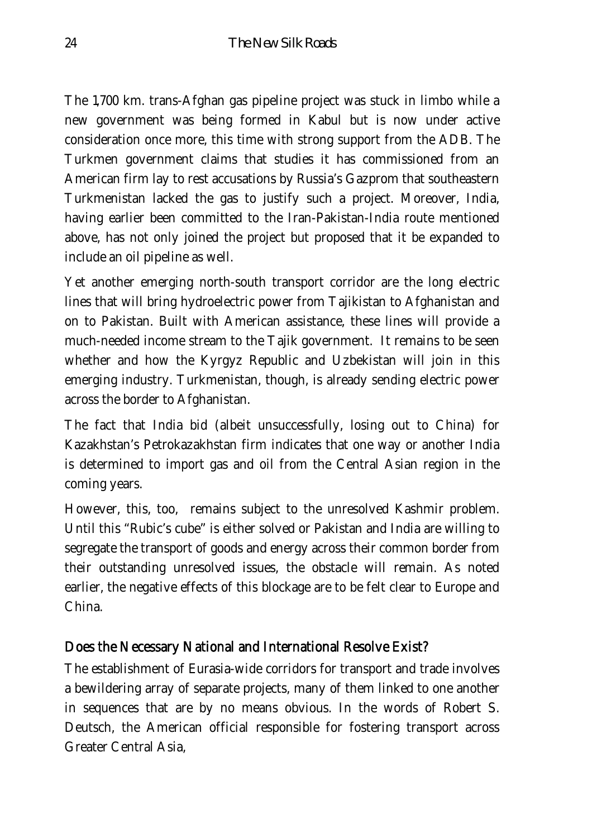The 1,700 km. trans-Afghan gas pipeline project was stuck in limbo while a new government was being formed in Kabul but is now under active consideration once more, this time with strong support from the ADB. The Turkmen government claims that studies it has commissioned from an American firm lay to rest accusations by Russia's Gazprom that southeastern Turkmenistan lacked the gas to justify such a project. Moreover, India, having earlier been committed to the Iran-Pakistan-India route mentioned above, has not only joined the project but proposed that it be expanded to include an oil pipeline as well.

Yet another emerging north-south transport corridor are the long electric lines that will bring hydroelectric power from Tajikistan to Afghanistan and on to Pakistan. Built with American assistance, these lines will provide a much-needed income stream to the Tajik government. It remains to be seen whether and how the Kyrgyz Republic and Uzbekistan will join in this emerging industry. Turkmenistan, though, is already sending electric power across the border to Afghanistan.

The fact that India bid (albeit unsuccessfully, losing out to China) for Kazakhstan's Petrokazakhstan firm indicates that one way or another India is determined to import gas and oil from the Central Asian region in the coming years.

However, this, too, remains subject to the unresolved Kashmir problem. Until this "Rubic's cube" is either solved or Pakistan and India are willing to segregate the transport of goods and energy across their common border from their outstanding unresolved issues, the obstacle will remain. As noted earlier, the negative effects of this blockage are to be felt clear to Europe and China.

## Does the Necessary National and International Resolve Exist?

The establishment of Eurasia-wide corridors for transport and trade involves a bewildering array of separate projects, many of them linked to one another in sequences that are by no means obvious. In the words of Robert S. Deutsch, the American official responsible for fostering transport across Greater Central Asia,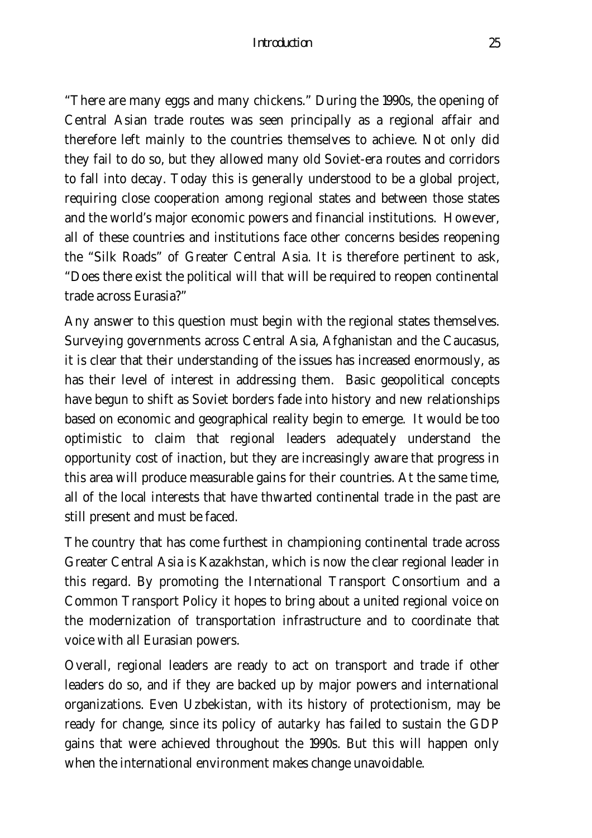"There are many eggs and many chickens." During the 1990s, the opening of Central Asian trade routes was seen principally as a regional affair and therefore left mainly to the countries themselves to achieve. Not only did they fail to do so, but they allowed many old Soviet-era routes and corridors to fall into decay. Today this is generally understood to be a global project, requiring close cooperation among regional states and between those states and the world's major economic powers and financial institutions. However, all of these countries and institutions face other concerns besides reopening the "Silk Roads" of Greater Central Asia. It is therefore pertinent to ask, "Does there exist the political will that will be required to reopen continental trade across Eurasia?"

Any answer to this question must begin with the regional states themselves. Surveying governments across Central Asia, Afghanistan and the Caucasus, it is clear that their understanding of the issues has increased enormously, as has their level of interest in addressing them. Basic geopolitical concepts have begun to shift as Soviet borders fade into history and new relationships based on economic and geographical reality begin to emerge. It would be too optimistic to claim that regional leaders adequately understand the opportunity cost of inaction, but they are increasingly aware that progress in this area will produce measurable gains for their countries. At the same time, all of the local interests that have thwarted continental trade in the past are still present and must be faced.

The country that has come furthest in championing continental trade across Greater Central Asia is Kazakhstan, which is now the clear regional leader in this regard. By promoting the International Transport Consortium and a Common Transport Policy it hopes to bring about a united regional voice on the modernization of transportation infrastructure and to coordinate that voice with all Eurasian powers.

Overall, regional leaders are ready to act on transport and trade if other leaders do so, and if they are backed up by major powers and international organizations. Even Uzbekistan, with its history of protectionism, may be ready for change, since its policy of autarky has failed to sustain the GDP gains that were achieved throughout the 1990s. But this will happen only when the international environment makes change unavoidable.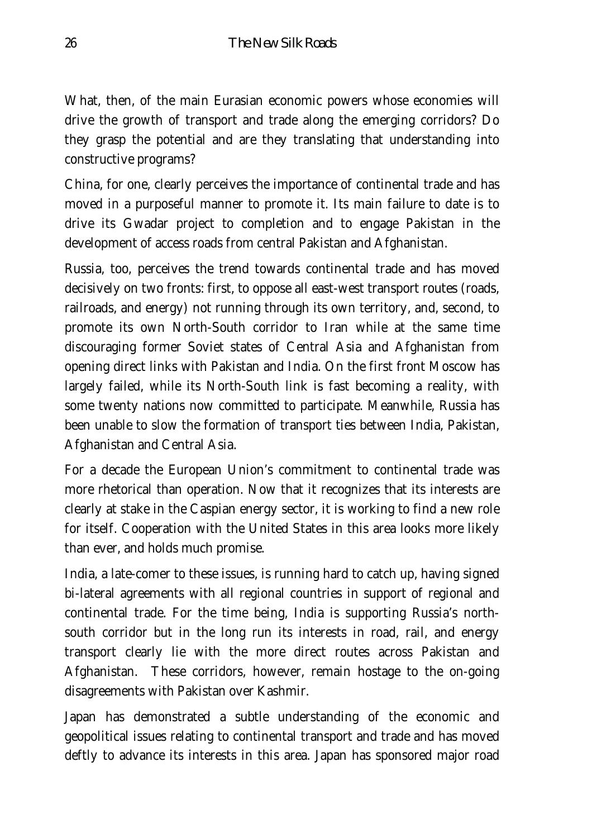What, then, of the main Eurasian economic powers whose economies will drive the growth of transport and trade along the emerging corridors? Do they grasp the potential and are they translating that understanding into constructive programs?

China, for one, clearly perceives the importance of continental trade and has moved in a purposeful manner to promote it. Its main failure to date is to drive its Gwadar project to completion and to engage Pakistan in the development of access roads from central Pakistan and Afghanistan.

Russia, too, perceives the trend towards continental trade and has moved decisively on two fronts: first, to oppose all east-west transport routes (roads, railroads, and energy) not running through its own territory, and, second, to promote its own North-South corridor to Iran while at the same time discouraging former Soviet states of Central Asia and Afghanistan from opening direct links with Pakistan and India. On the first front Moscow has largely failed, while its North-South link is fast becoming a reality, with some twenty nations now committed to participate. Meanwhile, Russia has been unable to slow the formation of transport ties between India, Pakistan, Afghanistan and Central Asia.

For a decade the European Union's commitment to continental trade was more rhetorical than operation. Now that it recognizes that its interests are clearly at stake in the Caspian energy sector, it is working to find a new role for itself. Cooperation with the United States in this area looks more likely than ever, and holds much promise.

India, a late-comer to these issues, is running hard to catch up, having signed bi-lateral agreements with all regional countries in support of regional and continental trade. For the time being, India is supporting Russia's northsouth corridor but in the long run its interests in road, rail, and energy transport clearly lie with the more direct routes across Pakistan and Afghanistan. These corridors, however, remain hostage to the on-going disagreements with Pakistan over Kashmir.

Japan has demonstrated a subtle understanding of the economic and geopolitical issues relating to continental transport and trade and has moved deftly to advance its interests in this area. Japan has sponsored major road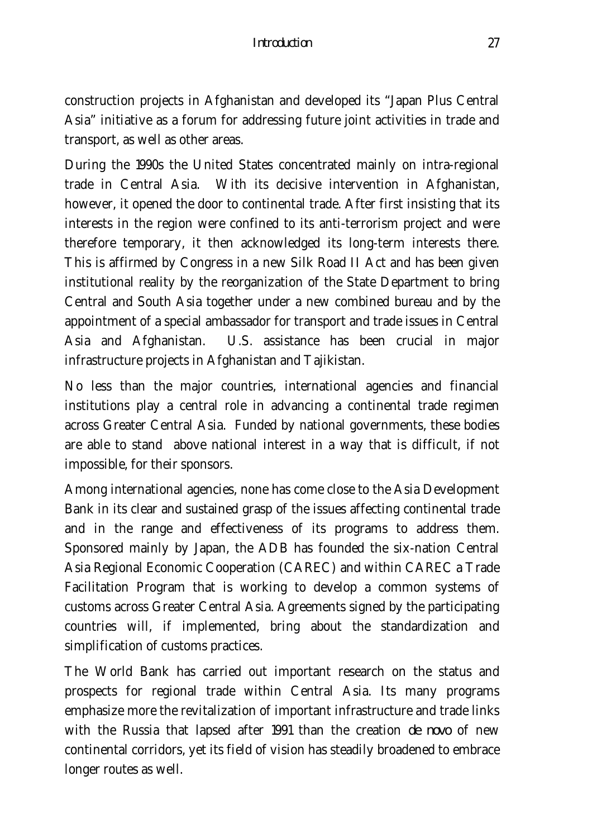construction projects in Afghanistan and developed its "Japan Plus Central Asia" initiative as a forum for addressing future joint activities in trade and transport, as well as other areas.

During the 1990s the United States concentrated mainly on intra-regional trade in Central Asia. With its decisive intervention in Afghanistan, however, it opened the door to continental trade. After first insisting that its interests in the region were confined to its anti-terrorism project and were therefore temporary, it then acknowledged its long-term interests there. This is affirmed by Congress in a new Silk Road II Act and has been given institutional reality by the reorganization of the State Department to bring Central and South Asia together under a new combined bureau and by the appointment of a special ambassador for transport and trade issues in Central Asia and Afghanistan. U.S. assistance has been crucial in major infrastructure projects in Afghanistan and Tajikistan.

No less than the major countries, international agencies and financial institutions play a central role in advancing a continental trade regimen across Greater Central Asia. Funded by national governments, these bodies are able to stand above national interest in a way that is difficult, if not impossible, for their sponsors.

Among international agencies, none has come close to the Asia Development Bank in its clear and sustained grasp of the issues affecting continental trade and in the range and effectiveness of its programs to address them. Sponsored mainly by Japan, the ADB has founded the six-nation Central Asia Regional Economic Cooperation (CAREC) and within CAREC a Trade Facilitation Program that is working to develop a common systems of customs across Greater Central Asia. Agreements signed by the participating countries will, if implemented, bring about the standardization and simplification of customs practices.

The World Bank has carried out important research on the status and prospects for regional trade within Central Asia. Its many programs emphasize more the revitalization of important infrastructure and trade links with the Russia that lapsed after 1991 than the creation *de novo* of new continental corridors, yet its field of vision has steadily broadened to embrace longer routes as well.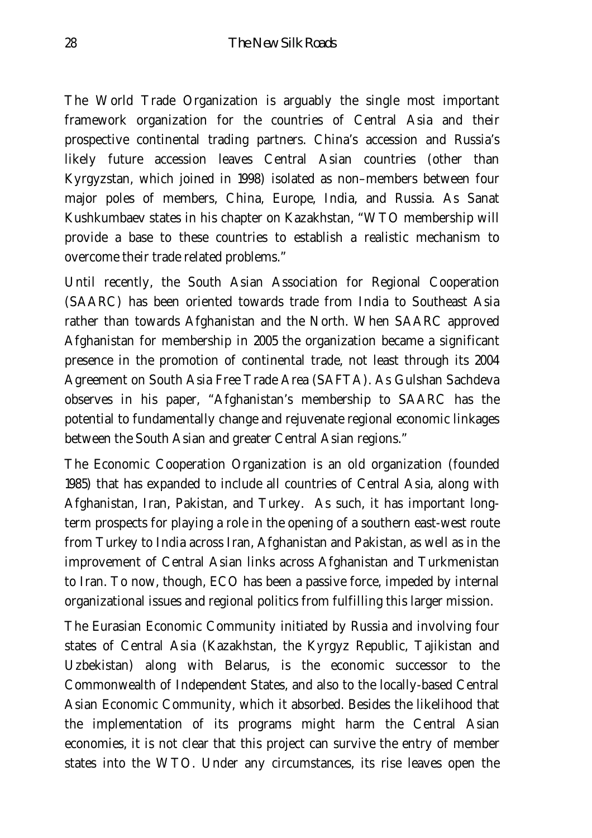The World Trade Organization is arguably the single most important framework organization for the countries of Central Asia and their prospective continental trading partners. China's accession and Russia's likely future accession leaves Central Asian countries (other than Kyrgyzstan, which joined in 1998) isolated as non–members between four major poles of members, China, Europe, India, and Russia. As Sanat Kushkumbaev states in his chapter on Kazakhstan, "WTO membership will provide a base to these countries to establish a realistic mechanism to overcome their trade related problems."

Until recently, the South Asian Association for Regional Cooperation (SAARC) has been oriented towards trade from India to Southeast Asia rather than towards Afghanistan and the North. When SAARC approved Afghanistan for membership in 2005 the organization became a significant presence in the promotion of continental trade, not least through its 2004 Agreement on South Asia Free Trade Area (SAFTA). As Gulshan Sachdeva observes in his paper, "Afghanistan's membership to SAARC has the potential to fundamentally change and rejuvenate regional economic linkages between the South Asian and greater Central Asian regions."

The Economic Cooperation Organization is an old organization (founded 1985) that has expanded to include all countries of Central Asia, along with Afghanistan, Iran, Pakistan, and Turkey. As such, it has important longterm prospects for playing a role in the opening of a southern east-west route from Turkey to India across Iran, Afghanistan and Pakistan, as well as in the improvement of Central Asian links across Afghanistan and Turkmenistan to Iran. To now, though, ECO has been a passive force, impeded by internal organizational issues and regional politics from fulfilling this larger mission.

The Eurasian Economic Community initiated by Russia and involving four states of Central Asia (Kazakhstan, the Kyrgyz Republic, Tajikistan and Uzbekistan) along with Belarus, is the economic successor to the Commonwealth of Independent States, and also to the locally-based Central Asian Economic Community, which it absorbed. Besides the likelihood that the implementation of its programs might harm the Central Asian economies, it is not clear that this project can survive the entry of member states into the WTO. Under any circumstances, its rise leaves open the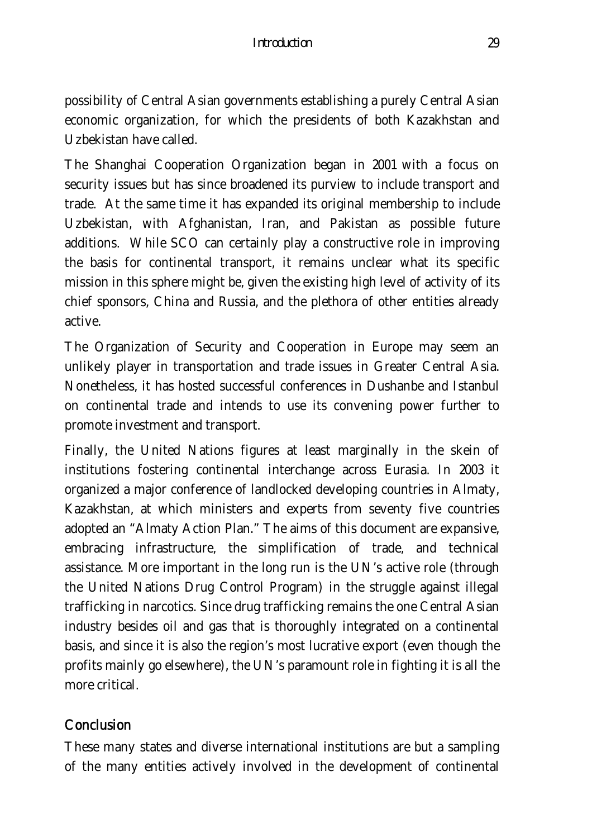possibility of Central Asian governments establishing a purely Central Asian economic organization, for which the presidents of both Kazakhstan and Uzbekistan have called.

The Shanghai Cooperation Organization began in 2001 with a focus on security issues but has since broadened its purview to include transport and trade. At the same time it has expanded its original membership to include Uzbekistan, with Afghanistan, Iran, and Pakistan as possible future additions. While SCO can certainly play a constructive role in improving the basis for continental transport, it remains unclear what its specific mission in this sphere might be, given the existing high level of activity of its chief sponsors, China and Russia, and the plethora of other entities already active.

The Organization of Security and Cooperation in Europe may seem an unlikely player in transportation and trade issues in Greater Central Asia. Nonetheless, it has hosted successful conferences in Dushanbe and Istanbul on continental trade and intends to use its convening power further to promote investment and transport.

Finally, the United Nations figures at least marginally in the skein of institutions fostering continental interchange across Eurasia. In 2003 it organized a major conference of landlocked developing countries in Almaty, Kazakhstan, at which ministers and experts from seventy five countries adopted an "Almaty Action Plan." The aims of this document are expansive, embracing infrastructure, the simplification of trade, and technical assistance. More important in the long run is the UN's active role (through the United Nations Drug Control Program) in the struggle against illegal trafficking in narcotics. Since drug trafficking remains the one Central Asian industry besides oil and gas that is thoroughly integrated on a continental basis, and since it is also the region's most lucrative export (even though the profits mainly go elsewhere), the UN's paramount role in fighting it is all the more critical.

# **Conclusion**

These many states and diverse international institutions are but a sampling of the many entities actively involved in the development of continental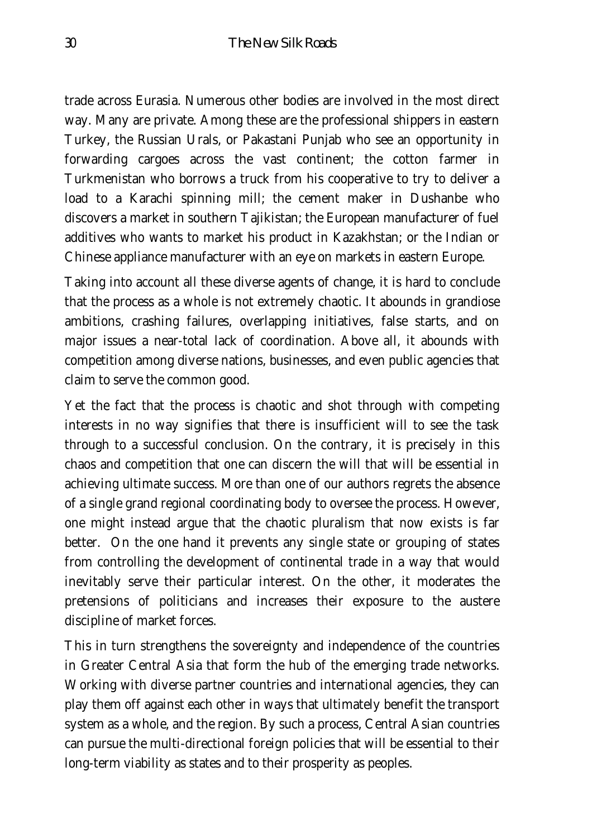trade across Eurasia. Numerous other bodies are involved in the most direct way. Many are private. Among these are the professional shippers in eastern Turkey, the Russian Urals, or Pakastani Punjab who see an opportunity in forwarding cargoes across the vast continent; the cotton farmer in Turkmenistan who borrows a truck from his cooperative to try to deliver a load to a Karachi spinning mill; the cement maker in Dushanbe who discovers a market in southern Tajikistan; the European manufacturer of fuel additives who wants to market his product in Kazakhstan; or the Indian or Chinese appliance manufacturer with an eye on markets in eastern Europe.

Taking into account all these diverse agents of change, it is hard to conclude that the process as a whole is not extremely chaotic. It abounds in grandiose ambitions, crashing failures, overlapping initiatives, false starts, and on major issues a near-total lack of coordination. Above all, it abounds with competition among diverse nations, businesses, and even public agencies that claim to serve the common good.

Yet the fact that the process is chaotic and shot through with competing interests in no way signifies that there is insufficient will to see the task through to a successful conclusion. On the contrary, it is precisely in this chaos and competition that one can discern the will that will be essential in achieving ultimate success. More than one of our authors regrets the absence of a single grand regional coordinating body to oversee the process. However, one might instead argue that the chaotic pluralism that now exists is far better. On the one hand it prevents any single state or grouping of states from controlling the development of continental trade in a way that would inevitably serve their particular interest. On the other, it moderates the pretensions of politicians and increases their exposure to the austere discipline of market forces.

This in turn strengthens the sovereignty and independence of the countries in Greater Central Asia that form the hub of the emerging trade networks. Working with diverse partner countries and international agencies, they can play them off against each other in ways that ultimately benefit the transport system as a whole, and the region. By such a process, Central Asian countries can pursue the multi-directional foreign policies that will be essential to their long-term viability as states and to their prosperity as peoples.